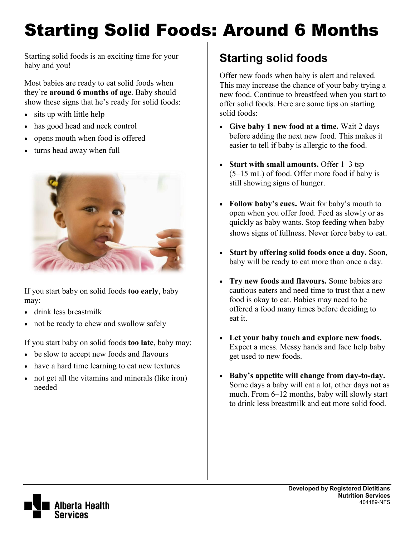# Starting Solid Foods: Around 6 Months

Starting solid foods is an exciting time for your baby and you!

Most babies are ready to eat solid foods when they're **around 6 months of age**. Baby should show these signs that he's ready for solid foods:

- sits up with little help
- has good head and neck control
- opens mouth when food is offered
- turns head away when full



If you start baby on solid foods **too early**, baby may:

- drink less breastmilk
- not be ready to chew and swallow safely

If you start baby on solid foods **too late**, baby may:

- be slow to accept new foods and flavours
- have a hard time learning to eat new textures
- not get all the vitamins and minerals (like iron) needed

### **Starting solid foods**

Offer new foods when baby is alert and relaxed. This may increase the chance of your baby trying a new food. Continue to breastfeed when you start to offer solid foods. Here are some tips on starting solid foods:

- **Give baby 1 new food at a time.** Wait 2 days before adding the next new food. This makes it easier to tell if baby is allergic to the food.
- **Start with small amounts.** Offer 1–3 tsp (5–15 mL) of food. Offer more food if baby is still showing signs of hunger.
- **Follow baby's cues.** Wait for baby's mouth to open when you offer food. Feed as slowly or as quickly as baby wants. Stop feeding when baby shows signs of fullness. Never force baby to eat.
- **Start by offering solid foods once a day.** Soon, baby will be ready to eat more than once a day.
- **Try new foods and flavours.** Some babies are cautious eaters and need time to trust that a new food is okay to eat. Babies may need to be offered a food many times before deciding to eat it.
- **Let your baby touch and explore new foods.** Expect a mess. Messy hands and face help baby get used to new foods.
- **Baby's appetite will change from day-to-day.**  Some days a baby will eat a lot, other days not as much. From 6–12 months, baby will slowly start to drink less breastmilk and eat more solid food.

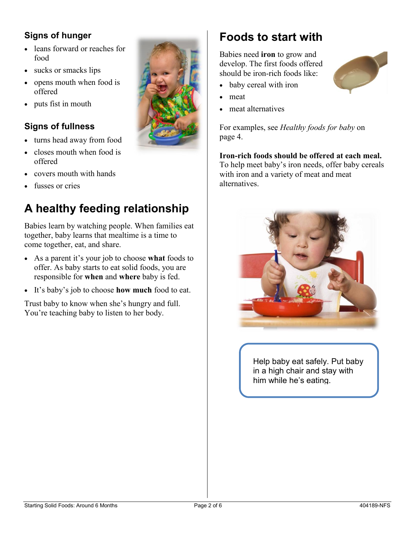#### **Signs of hunger**

- leans forward or reaches for food
- sucks or smacks lips
- opens mouth when food is offered
- puts fist in mouth

#### **Signs of fullness**

- turns head away from food
- closes mouth when food is offered
- covers mouth with hands
- fusses or cries

## **A healthy feeding relationship**

Babies learn by watching people. When families eat together, baby learns that mealtime is a time to come together, eat, and share.

- As a parent it's your job to choose **what** foods to offer. As baby starts to eat solid foods, you are responsible for **when** and **where** baby is fed.
- It's baby's job to choose **how much** food to eat.

Trust baby to know when she's hungry and full. You're teaching baby to listen to her body.



#### **Foods to start with**

Babies need **iron** to grow and develop. The first foods offered should be iron-rich foods like:

- baby cereal with iron
- meat
- meat alternatives

For examples, see *Healthy foods for baby* on page 4.

**Iron-rich foods should be offered at each meal.** To help meet baby's iron needs, offer baby cereals with iron and a variety of meat and meat alternatives.



Help baby eat safely. Put baby in a high chair and stay with him while he's eating.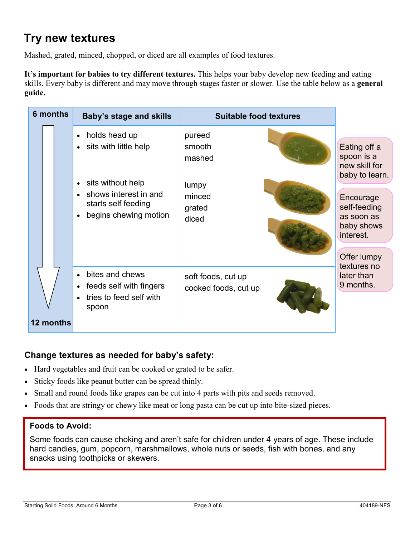#### **Try new textures**

Mashed, grated, minced, chopped, or diced are all examples of food textures.

**It's important for babies to try different textures.** This helps your baby develop new feeding and eating skills. Every baby is different and may move through stages faster or slower. Use the table below as a **general guide.**

| <b>6 months</b> | <b>Baby's stage and skills</b>                                                                                                    | <b>Suitable food textures</b>              |                                                                    |
|-----------------|-----------------------------------------------------------------------------------------------------------------------------------|--------------------------------------------|--------------------------------------------------------------------|
|                 | holds head up<br>$\bullet$<br>sits with little help<br>$\bullet$                                                                  | pureed<br>smooth<br>mashed                 | Eating off a<br>spoon is a<br>new skill for<br>baby to learn.      |
|                 | sits without help<br>$\bullet$<br>shows interest in and<br>$\bullet$<br>starts self feeding<br>begins chewing motion<br>$\bullet$ | lumpy<br>minced<br>grated<br>diced         | Encourage<br>self-feeding<br>as soon as<br>baby shows<br>interest. |
| 12 months       | bites and chews<br>$\bullet$<br>feeds self with fingers<br>$\bullet$<br>tries to feed self with<br>$\bullet$<br>spoon             | soft foods, cut up<br>cooked foods, cut up | Offer lumpy<br>textures no<br>later than<br>9 months.              |

#### **Change textures as needed for baby's safety:**

- Hard vegetables and fruit can be cooked or grated to be safer.
- Sticky foods like peanut butter can be spread thinly.
- Small and round foods like grapes can be cut into 4 parts with pits and seeds removed.
- Foods that are stringy or chewy like meat or long pasta can be cut up into bite-sized pieces.

#### **Foods to Avoid:**

Some foods can cause choking and aren't safe for children under 4 years of age. These include hard candies, gum, popcorn, marshmallows, whole nuts or seeds, fish with bones, and any snacks using toothpicks or skewers.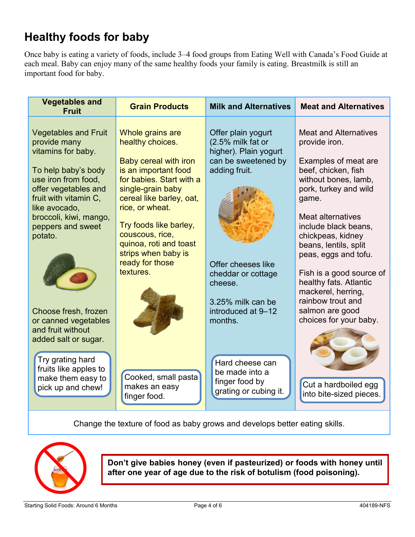### **Healthy foods for baby**

Once baby is eating a variety of foods, include 3–4 food groups from Eating Well with Canada's Food Guide at each meal. Baby can enjoy many of the same healthy foods your family is eating. Breastmilk is still an important food for baby.

| <b>Vegetables and</b><br><b>Fruit</b>                                                                                                                                                                                                                                                                                                    | <b>Grain Products</b>                                                                                                                                                                                                                                                                                               | <b>Milk and Alternatives</b>                                                                                                                                                                                          | <b>Meat and Alternatives</b>                                                                                                                                                                                                                                                                                                                                                                                                   |
|------------------------------------------------------------------------------------------------------------------------------------------------------------------------------------------------------------------------------------------------------------------------------------------------------------------------------------------|---------------------------------------------------------------------------------------------------------------------------------------------------------------------------------------------------------------------------------------------------------------------------------------------------------------------|-----------------------------------------------------------------------------------------------------------------------------------------------------------------------------------------------------------------------|--------------------------------------------------------------------------------------------------------------------------------------------------------------------------------------------------------------------------------------------------------------------------------------------------------------------------------------------------------------------------------------------------------------------------------|
| <b>Vegetables and Fruit</b><br>provide many<br>vitamins for baby.<br>To help baby's body<br>use iron from food,<br>offer vegetables and<br>fruit with vitamin C,<br>like avocado,<br>broccoli, kiwi, mango,<br>peppers and sweet<br>potato.<br>Choose fresh, frozen<br>or canned vegetables<br>and fruit without<br>added salt or sugar. | Whole grains are<br>healthy choices.<br>Baby cereal with iron<br>is an important food<br>for babies. Start with a<br>single-grain baby<br>cereal like barley, oat,<br>rice, or wheat.<br>Try foods like barley,<br>couscous, rice,<br>quinoa, roti and toast<br>strips when baby is<br>ready for those<br>textures. | Offer plain yogurt<br>(2.5% milk fat or<br>higher). Plain yogurt<br>can be sweetened by<br>adding fruit.<br>Offer cheeses like<br>cheddar or cottage<br>cheese.<br>3.25% milk can be<br>introduced at 9-12<br>months. | <b>Meat and Alternatives</b><br>provide iron.<br>Examples of meat are<br>beef, chicken, fish<br>without bones, lamb,<br>pork, turkey and wild<br>game.<br><b>Meat alternatives</b><br>include black beans,<br>chickpeas, kidney<br>beans, lentils, split<br>peas, eggs and tofu.<br>Fish is a good source of<br>healthy fats. Atlantic<br>mackerel, herring,<br>rainbow trout and<br>salmon are good<br>choices for your baby. |
| Try grating hard<br>fruits like apples to<br>make them easy to<br>pick up and chew!                                                                                                                                                                                                                                                      | Cooked, small pasta<br>makes an easy<br>finger food.                                                                                                                                                                                                                                                                | Hard cheese can<br>be made into a<br>finger food by<br>grating or cubing it.                                                                                                                                          | Cut a hardboiled egg<br>into bite-sized pieces.                                                                                                                                                                                                                                                                                                                                                                                |

Change the texture of food as baby grows and develops better eating skills.



**Don't give babies honey (even if pasteurized) or foods with honey until after one year of age due to the risk of botulism (food poisoning).**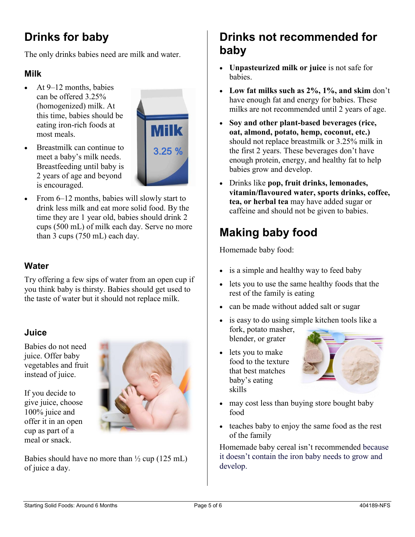# **Drinks for baby**

The only drinks babies need are milk and water.

#### **Milk**

 $\blacktriangleright$  At 9–12 months, babies can be offered 3.25% (homogenized) milk. At this time, babies should be eating iron-rich foods at most meals.



- Breastmilk can continue to meet a baby's milk needs. Breastfeeding until baby is 2 years of age and beyond is encouraged.
- From 6–12 months, babies will slowly start to drink less milk and eat more solid food. By the time they are 1 year old, babies should drink 2 cups (500 mL) of milk each day. Serve no more than 3 cups (750 mL) each day.

#### **Water**

Try offering a few sips of water from an open cup if you think baby is thirsty. Babies should get used to the taste of water but it should not replace milk.

#### **Juice**

Babies do not need juice. Offer baby vegetables and fruit instead of juice.

If you decide to give juice, choose 100% juice and offer it in an open cup as part of a meal or snack.



Babies should have no more than  $\frac{1}{2}$  cup (125 mL) of juice a day.

#### **Drinks not recommended for baby**

- **Unpasteurized milk or juice** is not safe for **babies**
- **Low fat milks such as 2%, 1%, and skim** don't have enough fat and energy for babies. These milks are not recommended until 2 years of age.
- **Soy and other plant-based beverages (rice, oat, almond, potato, hemp, coconut, etc.)** should not replace breastmilk or 3.25% milk in the first 2 years. These beverages don't have enough protein, energy, and healthy fat to help babies grow and develop.
- Drinks like **pop, fruit drinks, lemonades, vitamin/flavoured water, sports drinks, coffee, tea, or herbal tea** may have added sugar or caffeine and should not be given to babies.

### **Making baby food**

Homemade baby food:

- is a simple and healthy way to feed baby
- lets you to use the same healthy foods that the rest of the family is eating
- can be made without added salt or sugar
- is easy to do using simple kitchen tools like a fork, potato masher, blender, or grater
- lets you to make food to the texture that best matches baby's eating skills



- may cost less than buying store bought baby food
- teaches baby to enjoy the same food as the rest of the family

Homemade baby cereal isn't recommended because it doesn't contain the iron baby needs to grow and develop.